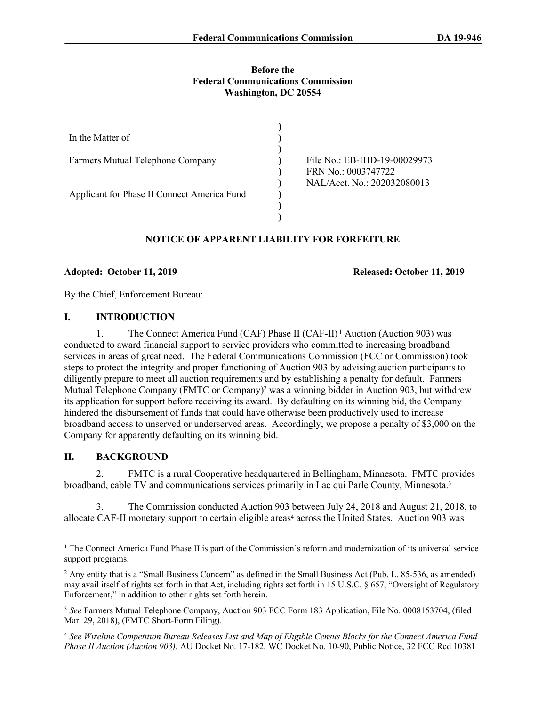#### **Before the Federal Communications Commission Washington, DC 20554**

| In the Matter of                            |                              |
|---------------------------------------------|------------------------------|
|                                             |                              |
| Farmers Mutual Telephone Company            | File No.: EB-IHD-19-00029973 |
|                                             | FRN No.: 0003747722          |
|                                             | NAL/Acct. No.: 202032080013  |
| Applicant for Phase II Connect America Fund |                              |
|                                             |                              |
|                                             |                              |

# **NOTICE OF APPARENT LIABILITY FOR FORFEITURE**

#### **Adopted: October 11, 2019 Released: October 11, 2019**

By the Chief, Enforcement Bureau:

#### **I. INTRODUCTION**

1. The Connect America Fund (CAF) Phase II (CAF-II) 1 Auction (Auction 903) was conducted to award financial support to service providers who committed to increasing broadband services in areas of great need. The Federal Communications Commission (FCC or Commission) took steps to protect the integrity and proper functioning of Auction 903 by advising auction participants to diligently prepare to meet all auction requirements and by establishing a penalty for default. Farmers Mutual Telephone Company (FMTC or Company)<sup>2</sup> was a winning bidder in Auction 903, but withdrew its application for support before receiving its award. By defaulting on its winning bid, the Company hindered the disbursement of funds that could have otherwise been productively used to increase broadband access to unserved or underserved areas. Accordingly, we propose a penalty of \$3,000 on the Company for apparently defaulting on its winning bid.

# **II. BACKGROUND**

2. FMTC is a rural Cooperative headquartered in Bellingham, Minnesota. FMTC provides broadband, cable TV and communications services primarily in Lac qui Parle County, Minnesota.<sup>3</sup>

3. The Commission conducted Auction 903 between July 24, 2018 and August 21, 2018, to allocate CAF-II monetary support to certain eligible areas<sup>4</sup> across the United States. Auction 903 was

<sup>&</sup>lt;sup>1</sup> The Connect America Fund Phase II is part of the Commission's reform and modernization of its universal service support programs.

<sup>&</sup>lt;sup>2</sup> Any entity that is a "Small Business Concern" as defined in the Small Business Act (Pub. L. 85-536, as amended) may avail itself of rights set forth in that Act, including rights set forth in 15 U.S.C. § 657, "Oversight of Regulatory Enforcement," in addition to other rights set forth herein.

<sup>3</sup> *See* Farmers Mutual Telephone Company, Auction 903 FCC Form 183 Application, File No. 0008153704, (filed Mar. 29, 2018), (FMTC Short-Form Filing).

<sup>4</sup> *See Wireline Competition Bureau Releases List and Map of Eligible Census Blocks for the Connect America Fund Phase II Auction (Auction 903)*, AU Docket No. 17-182, WC Docket No. 10-90, Public Notice, 32 FCC Rcd 10381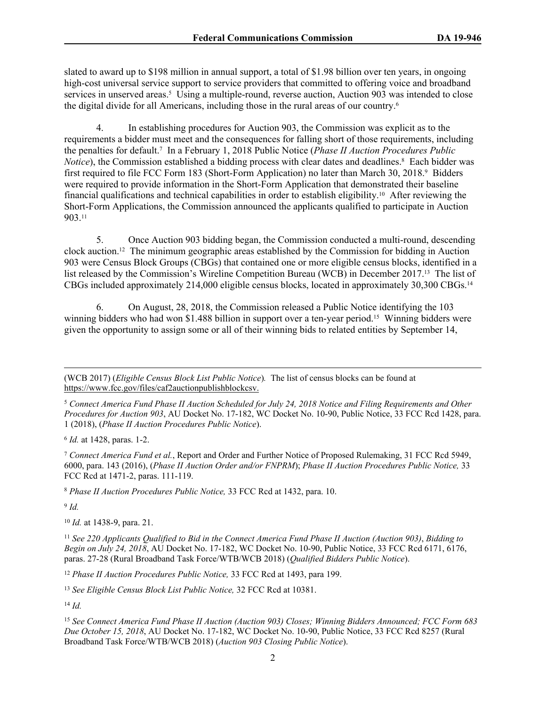slated to award up to \$198 million in annual support, a total of \$1.98 billion over ten years, in ongoing high-cost universal service support to service providers that committed to offering voice and broadband services in unserved areas.<sup>5</sup> Using a multiple-round, reverse auction, Auction 903 was intended to close the digital divide for all Americans, including those in the rural areas of our country.<sup>6</sup>

4. In establishing procedures for Auction 903, the Commission was explicit as to the requirements a bidder must meet and the consequences for falling short of those requirements, including the penalties for default.<sup>7</sup> In a February 1, 2018 Public Notice (*Phase II Auction Procedures Public*  Notice), the Commission established a bidding process with clear dates and deadlines.<sup>8</sup> Each bidder was first required to file FCC Form 183 (Short-Form Application) no later than March 30, 2018.<sup>9</sup> Bidders were required to provide information in the Short-Form Application that demonstrated their baseline financial qualifications and technical capabilities in order to establish eligibility.10 After reviewing the Short-Form Applications, the Commission announced the applicants qualified to participate in Auction 903.<sup>11</sup>

5. Once Auction 903 bidding began, the Commission conducted a multi-round, descending clock auction.12 The minimum geographic areas established by the Commission for bidding in Auction 903 were Census Block Groups (CBGs) that contained one or more eligible census blocks, identified in a list released by the Commission's Wireline Competition Bureau (WCB) in December 2017.<sup>13</sup> The list of CBGs included approximately 214,000 eligible census blocks, located in approximately 30,300 CBGs.<sup>14</sup>

6. On August, 28, 2018, the Commission released a Public Notice identifying the 103 winning bidders who had won \$1.488 billion in support over a ten-year period.<sup>15</sup> Winning bidders were given the opportunity to assign some or all of their winning bids to related entities by September 14,

6 *Id.* at 1428, paras. 1-2.

<sup>7</sup> *Connect America Fund et al.*, Report and Order and Further Notice of Proposed Rulemaking, 31 FCC Rcd 5949, 6000, para. 143 (2016), (*Phase II Auction Order and/or FNPRM*); *Phase II Auction Procedures Public Notice,* 33 FCC Rcd at 1471-2, paras. 111-119.

<sup>8</sup> *Phase II Auction Procedures Public Notice,* 33 FCC Rcd at 1432, para. 10.

9 *Id.*

<sup>10</sup> *Id.* at 1438-9, para. 21.

<sup>11</sup> *See 220 Applicants Qualified to Bid in the Connect America Fund Phase II Auction (Auction 903)*, *Bidding to Begin on July 24, 2018*, AU Docket No. 17-182, WC Docket No. 10-90, Public Notice, 33 FCC Rcd 6171, 6176, paras. 27-28 (Rural Broadband Task Force/WTB/WCB 2018) (*Qualified Bidders Public Notice*).

<sup>12</sup> *Phase II Auction Procedures Public Notice,* 33 FCC Rcd at 1493, para 199.

<sup>13</sup> *See Eligible Census Block List Public Notice,* 32 FCC Rcd at 10381.

<sup>14</sup> *Id.*

<sup>(</sup>WCB 2017) (*Eligible Census Block List Public Notice*)*.* The list of census blocks can be found at <https://www.fcc.gov/files/caf2auctionpublishblockcsv>.

<sup>5</sup> *Connect America Fund Phase II Auction Scheduled for July 24, 2018 Notice and Filing Requirements and Other Procedures for Auction 903*, AU Docket No. 17-182, WC Docket No. 10-90, Public Notice, 33 FCC Rcd 1428, para. 1 (2018), (*Phase II Auction Procedures Public Notice*).

<sup>15</sup> *See Connect America Fund Phase II Auction (Auction 903) Closes; Winning Bidders Announced; FCC Form 683 Due October 15, 2018*, AU Docket No. 17-182, WC Docket No. 10-90, Public Notice, 33 FCC Rcd 8257 (Rural Broadband Task Force/WTB/WCB 2018) (*Auction 903 Closing Public Notice*).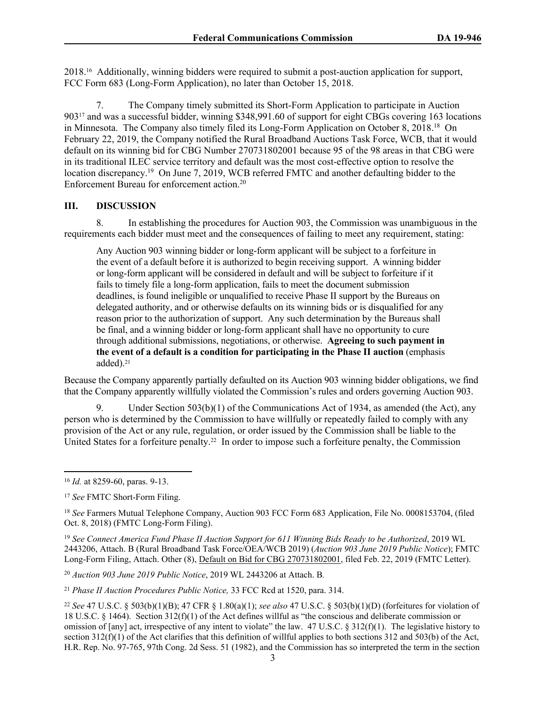2018.16 Additionally, winning bidders were required to submit a post-auction application for support, FCC Form 683 (Long-Form Application), no later than October 15, 2018.

7. The Company timely submitted its Short-Form Application to participate in Auction 90317 and was a successful bidder, winning \$348,991.60 of support for eight CBGs covering 163 locations in Minnesota. The Company also timely filed its Long-Form Application on October 8, 2018.<sup>18</sup> On February 22, 2019, the Company notified the Rural Broadband Auctions Task Force, WCB, that it would default on its winning bid for CBG Number 270731802001 because 95 of the 98 areas in that CBG were in its traditional ILEC service territory and default was the most cost-effective option to resolve the location discrepancy.<sup>19</sup> On June 7, 2019, WCB referred FMTC and another defaulting bidder to the Enforcement Bureau for enforcement action.<sup>20</sup>

# **III. DISCUSSION**

8. In establishing the procedures for Auction 903, the Commission was unambiguous in the requirements each bidder must meet and the consequences of failing to meet any requirement, stating:

Any Auction 903 winning bidder or long-form applicant will be subject to a forfeiture in the event of a default before it is authorized to begin receiving support. A winning bidder or long-form applicant will be considered in default and will be subject to forfeiture if it fails to timely file a long-form application, fails to meet the document submission deadlines, is found ineligible or unqualified to receive Phase II support by the Bureaus on delegated authority, and or otherwise defaults on its winning bids or is disqualified for any reason prior to the authorization of support. Any such determination by the Bureaus shall be final, and a winning bidder or long-form applicant shall have no opportunity to cure through additional submissions, negotiations, or otherwise. **Agreeing to such payment in the event of a default is a condition for participating in the Phase II auction** (emphasis added).<sup>21</sup>

Because the Company apparently partially defaulted on its Auction 903 winning bidder obligations, we find that the Company apparently willfully violated the Commission's rules and orders governing Auction 903.

Under Section  $503(b)(1)$  of the Communications Act of 1934, as amended (the Act), any person who is determined by the Commission to have willfully or repeatedly failed to comply with any provision of the Act or any rule, regulation, or order issued by the Commission shall be liable to the United States for a forfeiture penalty.22 In order to impose such a forfeiture penalty, the Commission

<sup>20</sup> *Auction 903 June 2019 Public Notice*, 2019 WL 2443206 at Attach. B*.*

<sup>21</sup> *Phase II Auction Procedures Public Notice,* 33 FCC Rcd at 1520, para. 314.

<sup>16</sup> *Id.* at 8259-60, paras. 9-13.

<sup>17</sup> *See* FMTC Short-Form Filing.

<sup>18</sup> *See* Farmers Mutual Telephone Company, Auction 903 FCC Form 683 Application, File No. 0008153704, (filed Oct. 8, 2018) (FMTC Long-Form Filing).

<sup>19</sup> *See Connect America Fund Phase II Auction Support for 611 Winning Bids Ready to be Authorized*, 2019 WL 2443206, Attach. B (Rural Broadband Task Force/OEA/WCB 2019) (*Auction 903 June 2019 Public Notice*); FMTC Long-Form Filing, Attach. Other (8), [Default on Bid for CBG 270731802001](https://oxygen.fcc.gov/inbox/attachment_view.htm?applicationId=10823068&attachmentId=20551990), filed Feb. 22, 2019 (FMTC Letter).

<sup>22</sup> *See* 47 U.S.C. § 503(b)(1)(B); 47 CFR § 1.80(a)(1); *see also* 47 U.S.C. § 503(b)(1)(D) (forfeitures for violation of 18 U.S.C. § 1464). Section 312(f)(1) of the Act defines willful as "the conscious and deliberate commission or omission of [any] act, irrespective of any intent to violate" the law. 47 U.S.C. § 312(f)(1). The legislative history to section  $312(f)(1)$  of the Act clarifies that this definition of willful applies to both sections  $312$  and  $503(b)$  of the Act, H.R. Rep. No. 97-765, 97th Cong. 2d Sess. 51 (1982), and the Commission has so interpreted the term in the section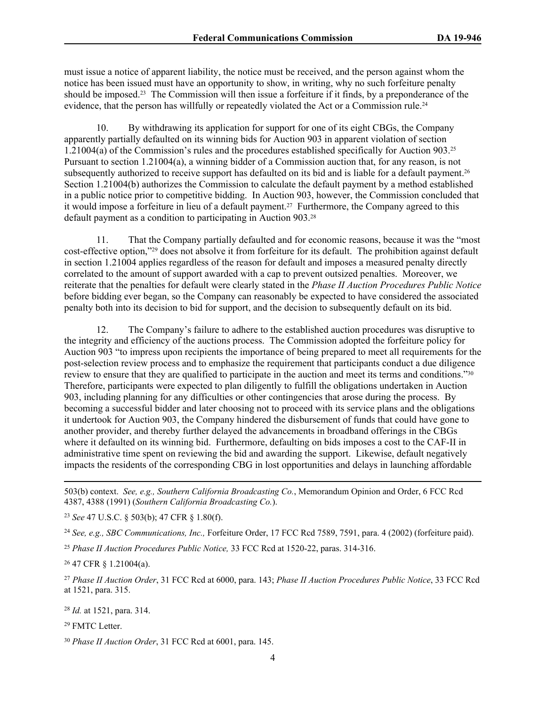must issue a notice of apparent liability, the notice must be received, and the person against whom the notice has been issued must have an opportunity to show, in writing, why no such forfeiture penalty should be imposed.23 The Commission will then issue a forfeiture if it finds, by a preponderance of the evidence, that the person has willfully or repeatedly violated the Act or a Commission rule.<sup>24</sup>

10. By withdrawing its application for support for one of its eight CBGs, the Company apparently partially defaulted on its winning bids for Auction 903 in apparent violation of section 1.21004(a) of the Commission's rules and the procedures established specifically for Auction 903.<sup>25</sup> Pursuant to section 1.21004(a), a winning bidder of a Commission auction that, for any reason, is not subsequently authorized to receive support has defaulted on its bid and is liable for a default payment.<sup>26</sup> Section 1.21004(b) authorizes the Commission to calculate the default payment by a method established in a public notice prior to competitive bidding. In Auction 903, however, the Commission concluded that it would impose a forfeiture in lieu of a default payment.<sup>27</sup> Furthermore, the Company agreed to this default payment as a condition to participating in Auction 903.<sup>28</sup>

11. That the Company partially defaulted and for economic reasons, because it was the "most cost-effective option,"29 does not absolve it from forfeiture for its default. The prohibition against default in section 1.21004 applies regardless of the reason for default and imposes a measured penalty directly correlated to the amount of support awarded with a cap to prevent outsized penalties. Moreover, we reiterate that the penalties for default were clearly stated in the *Phase II Auction Procedures Public Notice* before bidding ever began, so the Company can reasonably be expected to have considered the associated penalty both into its decision to bid for support, and the decision to subsequently default on its bid.

12. The Company's failure to adhere to the established auction procedures was disruptive to the integrity and efficiency of the auctions process. The Commission adopted the forfeiture policy for Auction 903 "to impress upon recipients the importance of being prepared to meet all requirements for the post-selection review process and to emphasize the requirement that participants conduct a due diligence review to ensure that they are qualified to participate in the auction and meet its terms and conditions."30 Therefore, participants were expected to plan diligently to fulfill the obligations undertaken in Auction 903, including planning for any difficulties or other contingencies that arose during the process. By becoming a successful bidder and later choosing not to proceed with its service plans and the obligations it undertook for Auction 903, the Company hindered the disbursement of funds that could have gone to another provider, and thereby further delayed the advancements in broadband offerings in the CBGs where it defaulted on its winning bid. Furthermore, defaulting on bids imposes a cost to the CAF-II in administrative time spent on reviewing the bid and awarding the support. Likewise, default negatively impacts the residents of the corresponding CBG in lost opportunities and delays in launching affordable

503(b) context. *See, e.g., Southern California Broadcasting Co.*, Memorandum Opinion and Order, 6 FCC Rcd 4387, 4388 (1991) (*Southern California Broadcasting Co.*).

<sup>23</sup> *See* 47 U.S.C. § 503(b); 47 CFR § 1.80(f).

<sup>24</sup> *See, e.g., SBC Communications, Inc.,* Forfeiture Order, 17 FCC Rcd 7589, 7591, para. 4 (2002) (forfeiture paid).

<sup>25</sup> *Phase II Auction Procedures Public Notice,* 33 FCC Rcd at 1520-22, paras. 314-316.

<sup>26</sup> 47 CFR § 1.21004(a).

<sup>27</sup> *Phase II Auction Order*, 31 FCC Rcd at 6000, para. 143; *Phase II Auction Procedures Public Notice*, 33 FCC Rcd at 1521, para. 315.

<sup>28</sup> *Id.* at 1521, para. 314.

<sup>29</sup> FMTC Letter.

<sup>30</sup> *Phase II Auction Order*, 31 FCC Rcd at 6001, para. 145.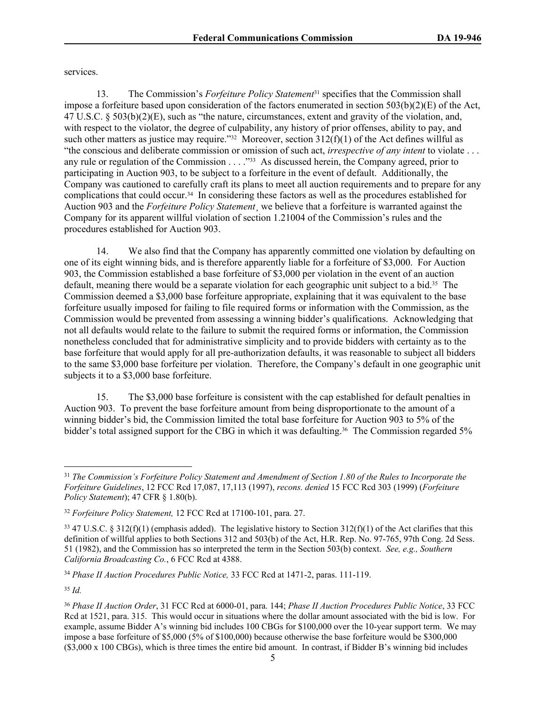services.

13. The Commission's *Forfeiture Policy Statement*31 specifies that the Commission shall impose a forfeiture based upon consideration of the factors enumerated in section  $503(b)(2)(E)$  of the Act, 47 U.S.C. § 503(b)(2)(E), such as "the nature, circumstances, extent and gravity of the violation, and, with respect to the violator, the degree of culpability, any history of prior offenses, ability to pay, and such other matters as justice may require."<sup>32</sup> Moreover, section  $312(f)(1)$  of the Act defines willful as "the conscious and deliberate commission or omission of such act, *irrespective of any intent* to violate . . . any rule or regulation of the Commission . . . . "33 As discussed herein, the Company agreed, prior to participating in Auction 903, to be subject to a forfeiture in the event of default. Additionally, the Company was cautioned to carefully craft its plans to meet all auction requirements and to prepare for any complications that could occur.34 In considering these factors as well as the procedures established for Auction 903 and the *Forfeiture Policy Statement*¸ we believe that a forfeiture is warranted against the Company for its apparent willful violation of section 1.21004 of the Commission's rules and the procedures established for Auction 903.

14. We also find that the Company has apparently committed one violation by defaulting on one of its eight winning bids, and is therefore apparently liable for a forfeiture of \$3,000. For Auction 903, the Commission established a base forfeiture of \$3,000 per violation in the event of an auction default, meaning there would be a separate violation for each geographic unit subject to a bid.35 The Commission deemed a \$3,000 base forfeiture appropriate, explaining that it was equivalent to the base forfeiture usually imposed for failing to file required forms or information with the Commission, as the Commission would be prevented from assessing a winning bidder's qualifications. Acknowledging that not all defaults would relate to the failure to submit the required forms or information, the Commission nonetheless concluded that for administrative simplicity and to provide bidders with certainty as to the base forfeiture that would apply for all pre-authorization defaults, it was reasonable to subject all bidders to the same \$3,000 base forfeiture per violation. Therefore, the Company's default in one geographic unit subjects it to a \$3,000 base forfeiture.

15. The \$3,000 base forfeiture is consistent with the cap established for default penalties in Auction 903. To prevent the base forfeiture amount from being disproportionate to the amount of a winning bidder's bid, the Commission limited the total base forfeiture for Auction 903 to 5% of the bidder's total assigned support for the CBG in which it was defaulting.<sup>36</sup> The Commission regarded 5%

<sup>34</sup> *Phase II Auction Procedures Public Notice,* 33 FCC Rcd at 1471-2, paras. 111-119.

<sup>35</sup> *Id.*

<sup>31</sup> *The Commission's Forfeiture Policy Statement and Amendment of Section 1.80 of the Rules to Incorporate the Forfeiture Guidelines*, 12 FCC Rcd 17,087, 17,113 (1997), *recons. denied* 15 FCC Rcd 303 (1999) (*Forfeiture Policy Statement*); 47 CFR § 1.80(b).

<sup>32</sup> *Forfeiture Policy Statement,* 12 FCC Rcd at 17100-101, para. 27.

 $33\overline{47}$  U.S.C. §  $312(f)(1)$  (emphasis added). The legislative history to Section  $312(f)(1)$  of the Act clarifies that this definition of willful applies to both Sections 312 and 503(b) of the Act, H.R. Rep. No. 97-765, 97th Cong. 2d Sess. 51 (1982), and the Commission has so interpreted the term in the Section 503(b) context. *See, e.g., Southern California Broadcasting Co.*, 6 FCC Rcd at 4388.

<sup>36</sup> *Phase II Auction Order*, 31 FCC Rcd at 6000-01, para. 144; *Phase II Auction Procedures Public Notice*, 33 FCC Rcd at 1521, para. 315. This would occur in situations where the dollar amount associated with the bid is low. For example, assume Bidder A's winning bid includes 100 CBGs for \$100,000 over the 10-year support term. We may impose a base forfeiture of \$5,000 (5% of \$100,000) because otherwise the base forfeiture would be \$300,000 (\$3,000 x 100 CBGs), which is three times the entire bid amount. In contrast, if Bidder B's winning bid includes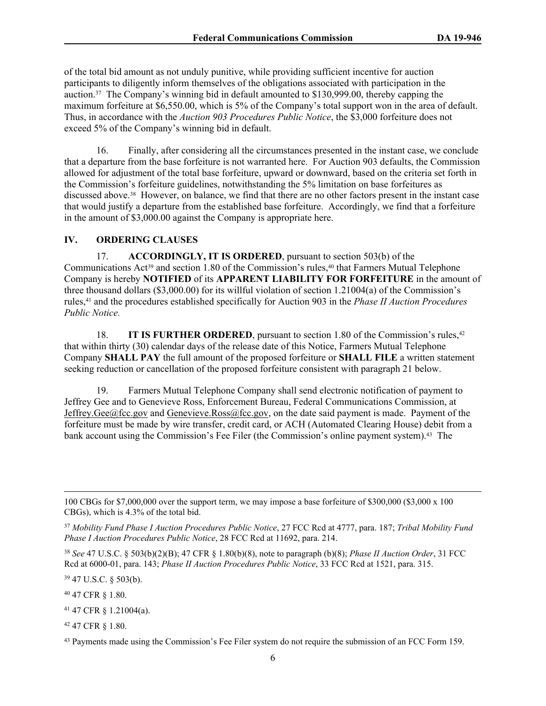of the total bid amount as not unduly punitive, while providing sufficient incentive for auction participants to diligently inform themselves of the obligations associated with participation in the auction.37 The Company's winning bid in default amounted to \$130,999.00, thereby capping the maximum forfeiture at \$6,550.00, which is 5% of the Company's total support won in the area of default. Thus, in accordance with the *Auction 903 Procedures Public Notice*, the \$3,000 forfeiture does not exceed 5% of the Company's winning bid in default.

16. Finally, after considering all the circumstances presented in the instant case, we conclude that a departure from the base forfeiture is not warranted here. For Auction 903 defaults, the Commission allowed for adjustment of the total base forfeiture, upward or downward, based on the criteria set forth in the Commission's forfeiture guidelines, notwithstanding the 5% limitation on base forfeitures as discussed above.38 However, on balance, we find that there are no other factors present in the instant case that would justify a departure from the established base forfeiture. Accordingly, we find that a forfeiture in the amount of \$3,000.00 against the Company is appropriate here.

#### **IV. ORDERING CLAUSES**

17. **ACCORDINGLY, IT IS ORDERED**, pursuant to section 503(b) of the Communications Act<sup>39</sup> and section 1.80 of the Commission's rules,<sup>40</sup> that Farmers Mutual Telephone Company is hereby **NOTIFIED** of its **APPARENT LIABILITY FOR FORFEITURE** in the amount of three thousand dollars (\$3,000.00) for its willful violation of section 1.21004(a) of the Commission's rules,41 and the procedures established specifically for Auction 903 in the *Phase II Auction Procedures Public Notice.*

18. **IT IS FURTHER ORDERED**, pursuant to section 1.80 of the Commission's rules,<sup>42</sup> that within thirty (30) calendar days of the release date of this Notice, Farmers Mutual Telephone Company **SHALL PAY** the full amount of the proposed forfeiture or **SHALL FILE** a written statement seeking reduction or cancellation of the proposed forfeiture consistent with paragraph 21 below.

19. Farmers Mutual Telephone Company shall send electronic notification of payment to Jeffrey Gee and to Genevieve Ross, Enforcement Bureau, Federal Communications Commission, at [Jeffrey.Gee@fcc.gov](mailto:Jeffrey.Gee@fcc.gov) and [Genevieve.Ross@fcc.gov](mailto:Genevieve.Ross@fcc.gov), on the date said payment is made. Payment of the forfeiture must be made by wire transfer, credit card, or ACH (Automated Clearing House) debit from a bank account using the Commission's Fee Filer (the Commission's online payment system).43 The

<sup>38</sup> *See* 47 U.S.C. § 503(b)(2)(B); 47 CFR § 1.80(b)(8), note to paragraph (b)(8); *Phase II Auction Order*, 31 FCC Rcd at 6000-01, para. 143; *Phase II Auction Procedures Public Notice*, 33 FCC Rcd at 1521, para. 315.

<sup>39</sup> 47 U.S.C. § 503(b).

<sup>40</sup> 47 CFR § 1.80.

<sup>41</sup> 47 CFR § 1.21004(a).

<sup>42</sup> 47 CFR § 1.80.

<sup>100</sup> CBGs for \$7,000,000 over the support term, we may impose a base forfeiture of \$300,000 (\$3,000 x 100 CBGs), which is 4.3% of the total bid.

<sup>37</sup> *Mobility Fund Phase I Auction Procedures Public Notice*, 27 FCC Rcd at 4777, para. 187; *Tribal Mobility Fund Phase I Auction Procedures Public Notice*, 28 FCC Rcd at 11692, para. 214.

<sup>&</sup>lt;sup>43</sup> Payments made using the Commission's Fee Filer system do not require the submission of an FCC Form 159.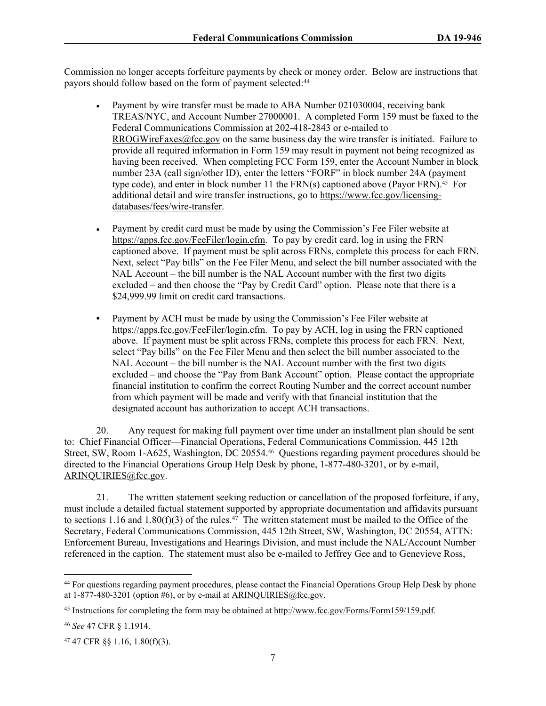Commission no longer accepts forfeiture payments by check or money order. Below are instructions that payors should follow based on the form of payment selected:<sup>44</sup>

- Payment by wire transfer must be made to ABA Number 021030004, receiving bank TREAS/NYC, and Account Number 27000001. A completed Form 159 must be faxed to the Federal Communications Commission at 202-418-2843 or e-mailed to [RROGWireFaxes@fcc.gov](mailto:RROGWireFaxes@fcc.gov) on the same business day the wire transfer is initiated. Failure to provide all required information in Form 159 may result in payment not being recognized as having been received. When completing FCC Form 159, enter the Account Number in block number 23A (call sign/other ID), enter the letters "FORF" in block number 24A (payment type code), and enter in block number 11 the  $FRN(s)$  captioned above (Payor FRN).<sup>45</sup> For additional detail and wire transfer instructions, go to [https://www.fcc.gov/licensing](https://www.fcc.gov/licensing-databases/fees/wire-transfer)[databases/fees/wire-transfer.](https://www.fcc.gov/licensing-databases/fees/wire-transfer)
- Payment by credit card must be made by using the Commission's Fee Filer website at <https://apps.fcc.gov/FeeFiler/login.cfm>. To pay by credit card, log in using the FRN captioned above. If payment must be split across FRNs, complete this process for each FRN. Next, select "Pay bills" on the Fee Filer Menu, and select the bill number associated with the NAL Account – the bill number is the NAL Account number with the first two digits excluded – and then choose the "Pay by Credit Card" option. Please note that there is a \$24,999.99 limit on credit card transactions.
- **•** Payment by ACH must be made by using the Commission's Fee Filer website at <https://apps.fcc.gov/FeeFiler/login.cfm>. To pay by ACH, log in using the FRN captioned above. If payment must be split across FRNs, complete this process for each FRN. Next, select "Pay bills" on the Fee Filer Menu and then select the bill number associated to the NAL Account – the bill number is the NAL Account number with the first two digits excluded – and choose the "Pay from Bank Account" option. Please contact the appropriate financial institution to confirm the correct Routing Number and the correct account number from which payment will be made and verify with that financial institution that the designated account has authorization to accept ACH transactions.

20. Any request for making full payment over time under an installment plan should be sent to: Chief Financial Officer—Financial Operations, Federal Communications Commission, 445 12th Street, SW, Room 1-A625, Washington, DC 20554.46 Questions regarding payment procedures should be directed to the Financial Operations Group Help Desk by phone, 1-877-480-3201, or by e-mail, [ARINQUIRIES@fcc.gov](mailto:arinquiries@fcc.gov).

21. The written statement seeking reduction or cancellation of the proposed forfeiture, if any, must include a detailed factual statement supported by appropriate documentation and affidavits pursuant to sections 1.16 and 1.80(f)(3) of the rules.<sup>47</sup> The written statement must be mailed to the Office of the Secretary, Federal Communications Commission, 445 12th Street, SW, Washington, DC 20554, ATTN: Enforcement Bureau, Investigations and Hearings Division, and must include the NAL/Account Number referenced in the caption. The statement must also be e-mailed to Jeffrey Gee and to Genevieve Ross,

<sup>44</sup> For questions regarding payment procedures, please contact the Financial Operations Group Help Desk by phone at  $1-877-480-3201$  (option #6), or by e-mail at ARINOUIRIES@fcc.gov.

<sup>45</sup> Instructions for completing the form may be obtained at<http://www.fcc.gov/Forms/Form159/159.pdf>.

<sup>46</sup> *See* 47 CFR § 1.1914.

<sup>47</sup> 47 CFR §§ 1.16, 1.80(f)(3).